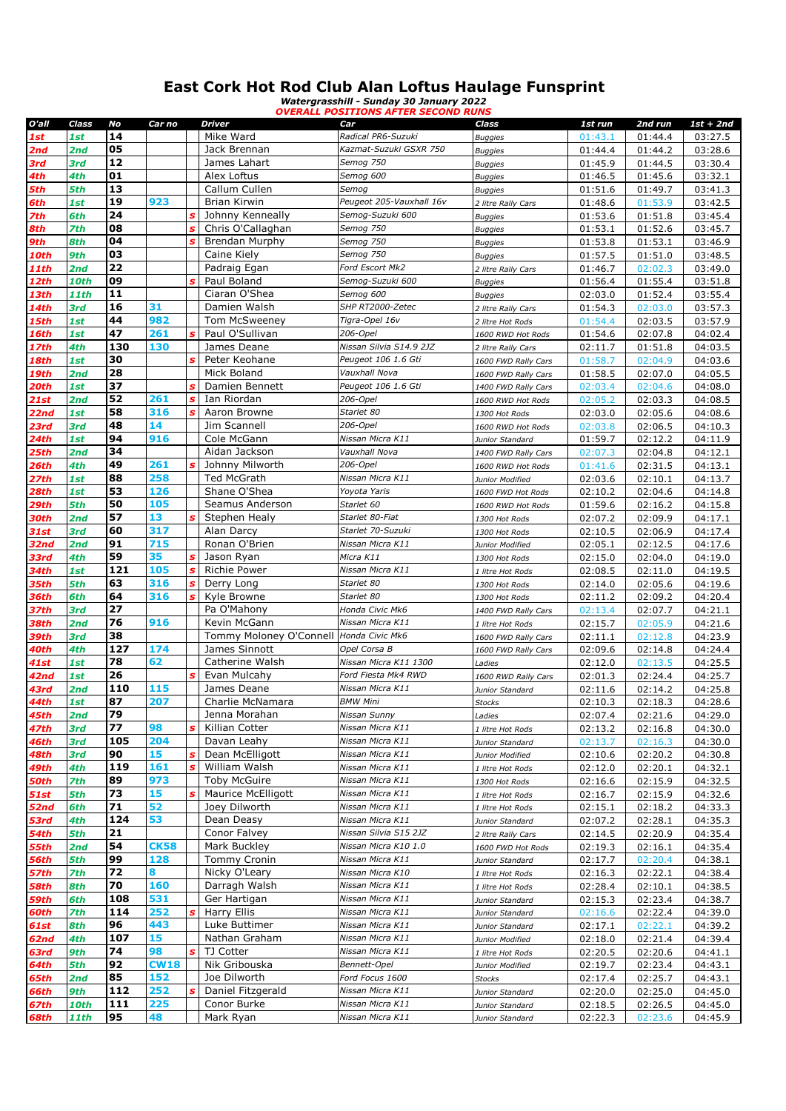## **East Cork Hot Rod Club Alan Loftus Haulage Funsprint**

*Watergrasshill - Sunday 30 January 2022 OVERALL POSITIONS AFTER SECOND RUNS*

| O'all       | Class       | No  | Car no      |                  | <b>Driver</b>                           | Car                      | Class               | 1st run | 2nd run | $1st + 2nd$ |
|-------------|-------------|-----|-------------|------------------|-----------------------------------------|--------------------------|---------------------|---------|---------|-------------|
| 1st         | 1st         | 14  |             |                  | Mike Ward                               | Radical PR6-Suzuki       | <b>Buggies</b>      | 01:43.1 | 01:44.4 | 03:27.5     |
| 2nd         | 2nd         | 05  |             |                  | Jack Brennan                            | Kazmat-Suzuki GSXR 750   | <b>Buggies</b>      | 01:44.4 | 01:44.2 | 03:28.6     |
| 3rd         | 3rd         | 12  |             |                  | James Lahart                            | Semog 750                |                     | 01:45.9 | 01:44.5 | 03:30.4     |
|             |             | 01  |             |                  |                                         | Semog 600                | <b>Buggies</b>      |         |         |             |
| 4th         | 4th         |     |             |                  | Alex Loftus                             |                          | <b>Buggies</b>      | 01:46.5 | 01:45.6 | 03:32.1     |
| 5th         | 5th         | 13  |             |                  | Callum Cullen                           | Semog                    | <b>Buggies</b>      | 01:51.6 | 01:49.7 | 03:41.3     |
| 6th         | 1st         | 19  | 923         |                  | Brian Kirwin                            | Peugeot 205-Vauxhall 16v | 2 litre Rally Cars  | 01:48.6 | 01:53.9 | 03:42.5     |
| 7th         | 6th         | 24  |             | s                | Johnny Kenneally                        | Semog-Suzuki 600         | <b>Buggies</b>      | 01:53.6 | 01:51.8 | 03:45.4     |
| 8th         | 7th         | 08  |             | s                | Chris O'Callaghan                       | Semog 750                | <b>Buggies</b>      | 01:53.1 | 01:52.6 | 03:45.7     |
| 9th         | 8th         | 04  |             | Ś                | Brendan Murphy                          | Semog 750                | <b>Buggies</b>      | 01:53.8 | 01:53.1 | 03:46.9     |
| 10th        | 9th         | 03  |             |                  | Caine Kiely                             | Semog 750                | <b>Buggies</b>      | 01:57.5 | 01:51.0 | 03:48.5     |
| 11th        | 2nd         | 22  |             |                  | Padraig Egan                            | Ford Escort Mk2          | 2 litre Rally Cars  | 01:46.7 | 02:02.3 | 03:49.0     |
| 12th        | 10th        | 09  |             | Ś                | Paul Boland                             | Semog-Suzuki 600         | <b>Buggies</b>      | 01:56.4 | 01:55.4 | 03:51.8     |
| 13th        | 11th        | 11  |             |                  | Ciaran O'Shea                           | Semog 600                | <b>Buggies</b>      | 02:03.0 | 01:52.4 | 03:55.4     |
| 14th        | 3rd         | 16  | 31          |                  | Damien Walsh                            | SHP RT2000-Zetec         | 2 litre Rally Cars  | 01:54.3 | 02:03.0 | 03:57.3     |
| 15th        | 1st         | 44  | 982         |                  | <b>Tom McSweeney</b>                    | Tigra-Opel 16v           | 2 litre Hot Rods    | 01:54.4 | 02:03.5 | 03:57.9     |
|             |             | 47  | 261         | Ś                | Paul O'Sullivan                         | 206-Opel                 |                     |         |         |             |
| 16th        | 1st         |     |             |                  |                                         | Nissan Silvia S14.9 2JZ  | 1600 RWD Hot Rods   | 01:54.6 | 02:07.8 | 04:02.4     |
| 17th        | 4th         | 130 | 130         |                  | James Deane                             |                          | 2 litre Rally Cars  | 02:11.7 | 01:51.8 | 04:03.5     |
| 18th        | 1st         | 30  |             |                  | Peter Keohane                           | Peugeot 106 1.6 Gti      | 1600 FWD Rally Cars | 01:58.7 | 02:04.9 | 04:03.6     |
| 19th        | 2nd         | 28  |             |                  | Mick Boland                             | Vauxhall Nova            | 1600 FWD Rally Cars | 01:58.5 | 02:07.0 | 04:05.5     |
| 20th        | 1st         | 37  |             | s                | Damien Bennett                          | Peugeot 106 1.6 Gti      | 1400 FWD Rally Cars | 02:03.4 | 02:04.6 | 04:08.0     |
| <b>21st</b> | 2nd         | 52  | 261         | s                | Ian Riordan                             | 206-Opel                 | 1600 RWD Hot Rods   | 02:05.2 | 02:03.3 | 04:08.5     |
| 22nd        | 1st         | 58  | 316         | s                | Aaron Browne                            | Starlet 80               | 1300 Hot Rods       | 02:03.0 | 02:05.6 | 04:08.6     |
| 23rd        | 3rd         | 48  | 14          |                  | Jim Scannell                            | 206-Opel                 | 1600 RWD Hot Rods   | 02:03.8 | 02:06.5 | 04:10.3     |
| 24th        | 1st         | 94  | 916         |                  | Cole McGann                             | Nissan Micra K11         | Junior Standard     | 01:59.7 | 02:12.2 | 04:11.9     |
| 25th        | 2nd         | 34  |             |                  | Aidan Jackson                           | Vauxhall Nova            | 1400 FWD Rally Cars | 02:07.3 | 02:04.8 | 04:12.1     |
| 26th        | 4th         | 49  | 261         | Ś                | Johnny Milworth                         | 206-Opel                 | 1600 RWD Hot Rods   | 01:41.6 | 02:31.5 | 04:13.1     |
| <b>27th</b> | 1st         | 88  | 258         |                  | Ted McGrath                             | Nissan Micra K11         | Junior Modified     | 02:03.6 | 02:10.1 | 04:13.7     |
| 28th        | 1st         | 53  | 126         |                  | Shane O'Shea                            | Yoyota Yaris             | 1600 FWD Hot Rods   | 02:10.2 | 02:04.6 | 04:14.8     |
| 29th        | 5th         | 50  | 105         |                  | Seamus Anderson                         | Starlet 60               | 1600 RWD Hot Rods   | 01:59.6 | 02:16.2 | 04:15.8     |
| 30th        | 2nd         | 57  | 13          | Ś                | Stephen Healy                           | Starlet 80-Fiat          | 1300 Hot Rods       | 02:07.2 | 02:09.9 | 04:17.1     |
| 31st        | 3rd         | 60  | 317         |                  | Alan Darcy                              | Starlet 70-Suzuki        |                     | 02:10.5 | 02:06.9 | 04:17.4     |
|             |             | 91  | 715         |                  | Ronan O'Brien                           |                          | 1300 Hot Rods       |         |         |             |
| 32nd        | 2nd         |     |             |                  |                                         | Nissan Micra K11         | Junior Modified     | 02:05.1 | 02:12.5 | 04:17.6     |
| 33rd        | 4th         | 59  | 35          | s                | Jason Ryan                              | Micra K11                | 1300 Hot Rods       | 02:15.0 | 02:04.0 | 04:19.0     |
| 34th        | 1st         | 121 | 105         | $\boldsymbol{s}$ | <b>Richie Power</b>                     | Nissan Micra K11         | 1 litre Hot Rods    | 02:08.5 | 02:11.0 | 04:19.5     |
| 35th        | 5th         | 63  | 316         |                  | Derry Long                              | Starlet 80               | 1300 Hot Rods       | 02:14.0 | 02:05.6 | 04:19.6     |
| 36th        | 6th         | 64  | 316         | S                | Kyle Browne                             | Starlet 80               | 1300 Hot Rods       | 02:11.2 | 02:09.2 | 04:20.4     |
| 37th        | 3rd         | 27  |             |                  | Pa O'Mahony                             | Honda Civic Mk6          | 1400 FWD Rally Cars | 02:13.4 | 02:07.7 | 04:21.1     |
| 38th        | 2nd         | 76  | 916         |                  | Kevin McGann                            | Nissan Micra K11         | 1 litre Hot Rods    | 02:15.7 | 02:05.9 | 04:21.6     |
| 39th        | 3rd         | 38  |             |                  | Tommy Moloney O'Connell Honda Civic Mk6 |                          | 1600 FWD Rally Cars | 02:11.1 | 02:12.8 | 04:23.9     |
| 40th        | 4th         | 127 | 174         |                  | James Sinnott                           | Opel Corsa B             | 1600 FWD Rally Cars | 02:09.6 | 02:14.8 | 04:24.4     |
| 41st        | 1st         | 78  | 62          |                  | Catherine Walsh                         | Nissan Micra K11 1300    | Ladies              | 02:12.0 | 02:13.5 | 04:25.5     |
| 42nd        | 1st         | 26  |             | Ś                | Evan Mulcahy                            | Ford Fiesta Mk4 RWD      | 1600 RWD Rally Cars | 02:01.3 | 02:24.4 | 04:25.7     |
| 43rd        | 2nd         | 110 | 115         |                  | James Deane                             | Nissan Micra K11         | Junior Standard     | 02:11.6 | 02:14.2 | 04:25.8     |
| 44th        | 1st         | 87  | 207         |                  | Charlie McNamara                        | <b>BMW Mini</b>          | Stocks              | 02:10.3 | 02:18.3 | 04:28.6     |
| 45th        | 2nd         | 79  |             |                  | Jenna Morahan                           | Nissan Sunny             | Ladies              | 02:07.4 | 02:21.6 | 04:29.0     |
| 47th        | 3rd         | 77  | 98          | S                | Killian Cotter                          | Nissan Micra K11         | 1 litre Hot Rods    | 02:13.2 | 02:16.8 | 04:30.0     |
| 46th        | 3rd         | 105 | 204         |                  | Davan Leahy                             | Nissan Micra K11         | Junior Standard     | 02:13.7 | 02:16.3 | 04:30.0     |
| 48th        | 3rd         | 90  | 15          |                  | Dean McElligott                         | Nissan Micra K11         | Junior Modified     | 02:10.6 | 02:20.2 | 04:30.8     |
|             | 4th         | 119 | 161         | s                | William Walsh                           | Nissan Micra K11         |                     |         | 02:20.1 |             |
| 49th        |             | 89  | 973         |                  | <b>Toby McGuire</b>                     | Nissan Micra K11         | 1 litre Hot Rods    | 02:12.0 |         | 04:32.1     |
| 50th        | 7th         |     |             |                  |                                         |                          | 1300 Hot Rods       | 02:16.6 | 02:15.9 | 04:32.5     |
| <b>51st</b> | 5th         | 73  | 15          |                  | <b>Maurice McElligott</b>               | Nissan Micra K11         | 1 litre Hot Rods    | 02:16.7 | 02:15.9 | 04:32.6     |
| 52nd        | 6th         | 71  | 52          |                  | Joey Dilworth                           | Nissan Micra K11         | 1 litre Hot Rods    | 02:15.1 | 02:18.2 | 04:33.3     |
| 53rd        | 4th         | 124 | 53          |                  | Dean Deasy                              | Nissan Micra K11         | Junior Standard     | 02:07.2 | 02:28.1 | 04:35.3     |
| 54th        | 5th         | 21  |             |                  | Conor Falvey                            | Nissan Silvia S15 2JZ    | 2 litre Rally Cars  | 02:14.5 | 02:20.9 | 04:35.4     |
| 55th        | 2nd         | 54  | <b>CK58</b> |                  | Mark Buckley                            | Nissan Micra K10 1.0     | 1600 FWD Hot Rods   | 02:19.3 | 02:16.1 | 04:35.4     |
| 56th        | 5th         | 99  | 128         |                  | Tommy Cronin                            | Nissan Micra K11         | Junior Standard     | 02:17.7 | 02:20.4 | 04:38.1     |
| 57th        | 7th         | 72  | 8           |                  | Nicky O'Leary                           | Nissan Micra K10         | 1 litre Hot Rods    | 02:16.3 | 02:22.1 | 04:38.4     |
| 58th        | 8th         | 70  | 160         |                  | Darragh Walsh                           | Nissan Micra K11         | 1 litre Hot Rods    | 02:28.4 | 02:10.1 | 04:38.5     |
| 59th        | 6th         | 108 | 531         |                  | Ger Hartigan                            | Nissan Micra K11         | Junior Standard     | 02:15.3 | 02:23.4 | 04:38.7     |
| 60th        | 7th         | 114 | 252         | s                | Harry Ellis                             | Nissan Micra K11         | Junior Standard     | 02:16.6 | 02:22.4 | 04:39.0     |
| 61st        | 8th         | 96  | 443         |                  | Luke Buttimer                           | Nissan Micra K11         | Junior Standard     | 02:17.1 | 02:22.1 | 04:39.2     |
| 62nd        | 4th         | 107 | 15          |                  | Nathan Graham                           | Nissan Micra K11         | Junior Modified     | 02:18.0 | 02:21.4 | 04:39.4     |
| 63rd        | 9th         | 74  | 98          | s                | TJ Cotter                               | Nissan Micra K11         | 1 litre Hot Rods    | 02:20.5 | 02:20.6 | 04:41.1     |
|             | 5th         | 92  | <b>CW18</b> |                  | Nik Gribouska                           | Bennett-Opel             |                     |         |         | 04:43.1     |
| 64th        |             |     | 152         |                  | Joe Dilworth                            | Ford Focus 1600          | Junior Modified     | 02:19.7 | 02:23.4 |             |
| 65th        | 2nd         | 85  | 252         |                  |                                         |                          | <b>Stocks</b>       | 02:17.4 | 02:25.7 | 04:43.1     |
| 66th        | 9th         | 112 |             | s                | Daniel Fitzgerald                       | Nissan Micra K11         | Junior Standard     | 02:20.0 | 02:25.0 | 04:45.0     |
| 67th        | <b>10th</b> | 111 | 225         |                  | Conor Burke                             | Nissan Micra K11         | Junior Standard     | 02:18.5 | 02:26.5 | 04:45.0     |
| <b>68th</b> | <b>11th</b> | 95  | 48          |                  | Mark Ryan                               | Nissan Micra K11         | Junior Standard     | 02:22.3 | 02:23.6 | 04:45.9     |